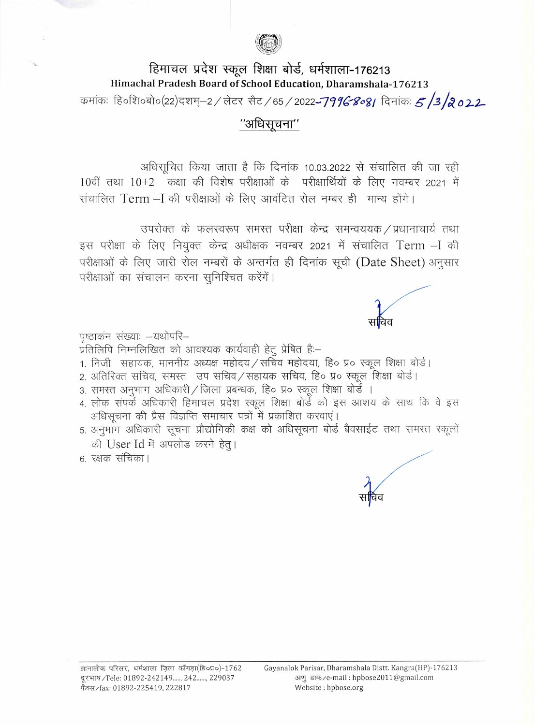

## हिमाचल प्रदेश स्कूल शिक्षा बोर्ड, धर्मशाला-176213 Himachal Pradesh Board of School Education, Dharamshala-176213

कमांकः हि०शि०बो०(22)दशम्–2 / लेटर सैट / 65 / 2022**-7996-808**/ दिनांकः 5 /3 /**२०22-**

## "अधिसचना"

अधिसूचित किया जाता है कि दिनांक 10.03.2022 से संचालित की जा रही 10वीं तथा 10+2 कक्षा की विशेष परीक्षाओं के परीक्षार्थियों के लिए नवम्बर 2021 में संचालित Term - I की परीक्षाओं के लिए आवंटित रोल नम्बर ही मान्य होंगे।

उपरोक्त के फलस्वरूप समस्त परीक्षा केन्द्र समन्वययक / प्रधानाचार्य तथा इस परीक्षा के लिए नियुक्त केन्द्र अधीक्षक नवम्बर 2021 में संचालित Term - I की परीक्षाओं के लिए जारी रोल नम्बरों के अन्तर्गत ही दिनांक सूची (Date Sheet) अनुसार परीक्षाओं का संचालन करना सुनिश्चित करेंगें।

पृष्ठाकन संख्याः –यथोपरि–

.<br>प्रतिलिपि निम्नलिखित को आवश्यक कार्यवाही हेतू प्रेषित है:–

- 1. निजी सहायक, माननीय अध्यक्ष महोदय/सचिव महोदया, हि० प्र० स्कूल शिक्षा बोर्ड।
- 2. अतिरिक्त सचिव, समस्त उप सचिव/सहायक सचिव, हि० प्र० स्कूल शिक्षा बोर्ड।
- 3. समस्त अनुभाग अधिकारी / जिला प्रबन्धक, हि० प्र० स्कूल शिक्षा बोर्डे ।
- 4. लोक संपर्के अधिकारी हिमाचल प्रदेश स्कूल शिक्षा बोर्डे को इस आशय के साथ कि वे इस अधिसूचना की प्रैस विज्ञप्ति समाचार पत्रों में प्रकाशित करवाएं।
- 5. अनुभाग अधिकारी सूचना प्रौद्योगिकी कक्ष को अधिसूचना बोर्ड बैवसाईट तथा समस्त स्कूलों की User Id में अपलोड करने हेत्।

6. रक्षक संचिका।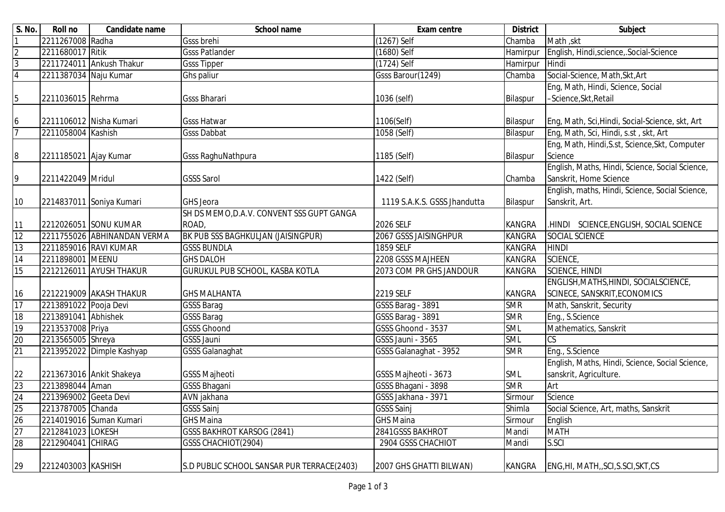| S. No.          | Roll no               | Candidate name              | <b>School name</b>                         | <b>Exam centre</b>           | <b>District</b> | Subject                                         |
|-----------------|-----------------------|-----------------------------|--------------------------------------------|------------------------------|-----------------|-------------------------------------------------|
|                 | 2211267008 Radha      |                             | <b>Gsss brehi</b>                          | (1267) Self                  | Chamba          | Math , skt                                      |
| $\overline{2}$  | 2211680017 Ritik      |                             | <b>Gsss Patlander</b>                      | $(1680)$ Self                | Hamirpur        | English, Hindi, science, Social-Science         |
| $\overline{3}$  |                       | 2211724011 Ankush Thakur    | <b>Gsss Tipper</b>                         | $(1724)$ Self                | Hamirpur        | Hindi                                           |
| 4               | 2211387034 Naju Kumar |                             | Ghs paliur                                 | Gsss Barour(1249)            | Chamba          | Social-Science, Math, Skt, Art                  |
|                 |                       |                             |                                            |                              |                 | Eng, Math, Hindi, Science, Social               |
| 5               | 2211036015 Rehrma     |                             | <b>Gsss Bharari</b>                        | 1036 (self)                  | Bilaspur        | -Science, Skt, Retail                           |
|                 |                       |                             |                                            |                              |                 |                                                 |
| 6               |                       | 2211106012 Nisha Kumari     | <b>Gsss Hatwar</b>                         | 1106(Self)                   | Bilaspur        | Eng, Math, Sci, Hindi, Social-Science, skt, Art |
| $\overline{7}$  | 2211058004 Kashish    |                             | <b>Gsss Dabbat</b>                         | 1058 (Self)                  | Bilaspur        | Eng, Math, Sci, Hindi, s.st, skt, Art           |
|                 |                       |                             |                                            |                              |                 | Eng, Math, Hindi, S.st, Science, Skt, Computer  |
| 8               | 2211185021 Ajay Kumar |                             | <b>Gsss RaghuNathpura</b>                  | 1185 (Self)                  | Bilaspur        | Science                                         |
|                 |                       |                             |                                            |                              |                 | English, Maths, Hindi, Science, Social Science, |
| 9               | 2211422049 Mridul     |                             | <b>GSSS Sarol</b>                          | 1422 (Self)                  | Chamba          | Sanskrit, Home Science                          |
|                 |                       |                             |                                            |                              |                 | English, maths, Hindi, Science, Social Science, |
| 10              |                       | 2214837011 Soniya Kumari    | <b>GHS</b> Jeora                           | 1119 S.A.K.S. GSSS Jhandutta | Bilaspur        | Sanskrit, Art.                                  |
|                 |                       |                             | SH DS MEMO, D.A.V. CONVENT SSS GUPT GANGA  |                              |                 |                                                 |
| 11              |                       | 2212026051 SONU KUMAR       | ROAD,                                      | 2026 SELF                    | <b>KANGRA</b>   | .HINDI SCIENCE, ENGLISH, SOCIAL SCIENCE         |
| 12              |                       | 2211755026 ABHINANDAN VERMA | BK PUB SSS BAGHKULJAN (JAISINGPUR)         | 2067 GSSS JAISINGHPUR        | <b>KANGRA</b>   | SOCIAL SCIENCE                                  |
| 13              |                       | 2211859016 RAVI KUMAR       | <b>GSSS BUNDLA</b>                         | <b>1859 SELF</b>             | <b>KANGRA</b>   | <b>HINDI</b>                                    |
| 14              | 2211898001 MEENU      |                             | <b>GHS DALOH</b>                           | 2208 GSSS MAJHEEN            | <b>KANGRA</b>   | SCIENCE,                                        |
| 15              |                       | 2212126011 AYUSH THAKUR     | GURUKUL PUB SCHOOL, KASBA KOTLA            | 2073 COM PR GHS JANDOUR      | <b>KANGRA</b>   | <b>SCIENCE, HINDI</b>                           |
|                 |                       |                             |                                            |                              |                 | ENGLISH, MATHS, HINDI, SOCIALSCIENCE,           |
| 16              |                       | 2212219009 AKASH THAKUR     | <b>GHS MALHANTA</b>                        | <b>2219 SELF</b>             | <b>KANGRA</b>   | SCINECE, SANSKRIT, ECONOMICS                    |
| 17              | 2213891022 Pooja Devi |                             | <b>GSSS Barag</b>                          | GSSS Barag - 3891            | <b>SMR</b>      | Math, Sanskrit, Security                        |
| 18              | 2213891041 Abhishek   |                             | <b>GSSS Barag</b>                          | GSSS Barag - 3891            | <b>SMR</b>      | Eng., S.Science                                 |
| 19              | 2213537008 Priya      |                             | <b>GSSS Ghoond</b>                         | GSSS Ghoond - 3537           | <b>SML</b>      | Mathematics, Sanskrit                           |
| 20              | 2213565005 Shreya     |                             | <b>GSSS Jauni</b>                          | GSSS Jauni - 3565            | <b>SML</b>      | CS                                              |
| 21              |                       | 2213952022 Dimple Kashyap   | <b>GSSS Galanaghat</b>                     | GSSS Galanaghat - 3952       | <b>SMR</b>      | Eng., S.Science                                 |
|                 |                       |                             |                                            |                              |                 | English, Maths, Hindi, Science, Social Science, |
| 22              |                       | 2213673016 Ankit Shakeya    | <b>GSSS Majheoti</b>                       | GSSS Majheoti - 3673         | SML             | sanskrit, Agriculture.                          |
| 23              | 2213898044 Aman       |                             | <b>GSSS Bhagani</b>                        | GSSS Bhagani - 3898          | <b>SMR</b>      | Art                                             |
| $\overline{24}$ | 2213969002 Geeta Devi |                             | AVN jakhana                                | GSSS Jakhana - 3971          | Sirmour         | Science                                         |
| 25              | 2213787005 Chanda     |                             | GSSS Sainj                                 | <b>GSSS Sainj</b>            | Shimla          | Social Science, Art, maths, Sanskrit            |
| 26              |                       | 2214019016 Suman Kumari     | <b>GHS Maina</b>                           | <b>GHS Maina</b>             | Sirmour         | English                                         |
| $\overline{27}$ | 2212841023 LOKESH     |                             | <b>GSSS BAKHROT KARSOG (2841)</b>          | 2841GSSS BAKHROT             | Mandi           | <b>MATH</b>                                     |
| 28              | 2212904041 CHIRAG     |                             | GSSS CHACHIOT(2904)                        | 2904 GSSS CHACHIOT           | Mandi           | S.SCI                                           |
| 29              | 2212403003 KASHISH    |                             | S.D PUBLIC SCHOOL SANSAR PUR TERRACE(2403) | 2007 GHS GHATTI BILWAN)      | KANGRA          | ENG, HI, MATH, SCI, S.SCI, SKT, CS              |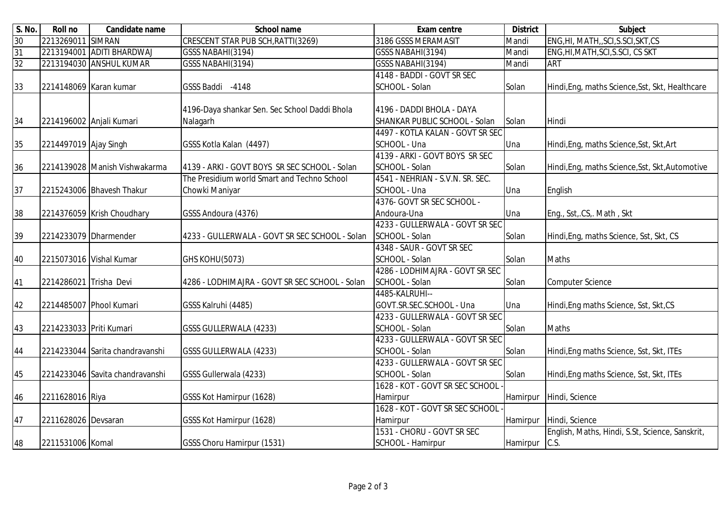| S. No. | <b>Roll no</b>           | Candidate name                  | <b>School name</b>                             | <b>Exam centre</b>               | <b>District</b> | <b>Subject</b>                                  |
|--------|--------------------------|---------------------------------|------------------------------------------------|----------------------------------|-----------------|-------------------------------------------------|
| 30     | 2213269011 SIMRAN        |                                 | CRESCENT STAR PUB SCH, RATTI(3269)             | 3186 GSSS MERAMASIT              | Mandi           | ENG, HI, MATH, SCI, S.SCI, SKT, CS              |
| 31     |                          | 2213194001 ADITI BHARDWAJ       | GSSS NABAHI(3194)                              | GSSS NABAHI(3194)                | Mandi           | ENG, HI, MATH, SCI, S.SCI, CS SKT               |
| 32     |                          | 2213194030 ANSHUL KUMAR         | GSSS NABAHI(3194)                              | GSSS NABAHI(3194)                | Mandi           | <b>ART</b>                                      |
|        |                          |                                 |                                                | 4148 - BADDI - GOVT SR SEC       |                 |                                                 |
| 33     | 2214148069 Karan kumar   |                                 | GSSS Baddi -4148                               | SCHOOL - Solan                   | Solan           | Hindi, Eng, maths Science, Sst, Skt, Healthcare |
|        |                          |                                 |                                                |                                  |                 |                                                 |
|        |                          |                                 | 4196-Daya shankar Sen. Sec School Daddi Bhola  | 4196 - DADDI BHOLA - DAYA        |                 |                                                 |
| 34     | 2214196002 Anjali Kumari |                                 | Nalagarh                                       | SHANKAR PUBLIC SCHOOL - Solan    | Solan           | Hindi                                           |
|        |                          |                                 |                                                | 4497 - KOTLA KALAN - GOVT SR SEC |                 |                                                 |
| 35     | 2214497019 Ajay Singh    |                                 | GSSS Kotla Kalan (4497)                        | SCHOOL - Una                     | Una             | Hindi, Eng, maths Science, Sst, Skt, Art        |
|        |                          |                                 |                                                | 4139 - ARKI - GOVT BOYS SR SEC   |                 |                                                 |
| 36     |                          | 2214139028 Manish Vishwakarma   | 4139 - ARKI - GOVT BOYS SR SEC SCHOOL - Solan  | SCHOOL - Solan                   | Solan           | Hindi, Eng, maths Science, Sst, Skt, Automotive |
|        |                          |                                 | The Presidium world Smart and Techno School    | 4541 - NEHRIAN - S.V.N. SR. SEC. |                 |                                                 |
| 37     |                          | 2215243006 Bhavesh Thakur       | Chowki Maniyar                                 | SCHOOL - Una                     | Una             | English                                         |
|        |                          |                                 |                                                | 4376- GOVT SR SEC SCHOOL -       |                 |                                                 |
| 38     |                          | 2214376059 Krish Choudhary      | GSSS Andoura (4376)                            | Andoura-Una                      | Una             | Eng., Sst, CS,. Math, Skt                       |
|        |                          |                                 |                                                | 4233 - GULLERWALA - GOVT SR SEC  |                 |                                                 |
| 39     | 2214233079 Dharmender    |                                 | 4233 - GULLERWALA - GOVT SR SEC SCHOOL - Solan | SCHOOL - Solan                   | Solan           | Hindi, Eng, maths Science, Sst, Skt, CS         |
|        |                          |                                 |                                                | 4348 - SAUR - GOVT SR SEC        |                 |                                                 |
| 40     | 2215073016 Vishal Kumar  |                                 | GHS KOHU(5073)                                 | SCHOOL - Solan                   | Solan           | <b>Maths</b>                                    |
|        |                          |                                 |                                                | 4286 - LODHIMAJRA - GOVT SR SEC  |                 |                                                 |
| 41     | 2214286021 Trisha Devi   |                                 | 4286 - LODHIMAJRA - GOVT SR SEC SCHOOL - Solan | SCHOOL - Solan                   | Solan           | <b>Computer Science</b>                         |
|        |                          |                                 |                                                | 4485-KALRUHI--                   |                 |                                                 |
| 42     |                          | 2214485007 Phool Kumari         | GSSS Kalruhi (4485)                            | GOVT.SR.SEC.SCHOOL - Una         | Una             | Hindi, Eng maths Science, Sst, Skt, CS          |
|        |                          |                                 |                                                | 4233 - GULLERWALA - GOVT SR SEC  |                 |                                                 |
| 43     | 2214233033 Priti Kumari  |                                 | <b>GSSS GULLERWALA (4233)</b>                  | SCHOOL - Solan                   | Solan           | <b>Maths</b>                                    |
|        |                          |                                 |                                                | 4233 - GULLERWALA - GOVT SR SEC  |                 |                                                 |
| 44     |                          | 2214233044 Sarita chandravanshi | GSSS GULLERWALA (4233)                         | SCHOOL - Solan                   | Solan           | Hindi, Eng maths Science, Sst, Skt, ITEs        |
|        |                          |                                 |                                                | 4233 - GULLERWALA - GOVT SR SEC  |                 |                                                 |
| 45     |                          | 2214233046 Savita chandravanshi | GSSS Gullerwala (4233)                         | SCHOOL - Solan                   | Solan           | Hindi, Eng maths Science, Sst, Skt, ITEs        |
|        |                          |                                 |                                                | 1628 - KOT - GOVT SR SEC SCHOOL  |                 |                                                 |
| 46     | 2211628016 Riya          |                                 | GSSS Kot Hamirpur (1628)                       | Hamirpur                         | Hamirpur        | Hindi, Science                                  |
|        |                          |                                 |                                                | 1628 - KOT - GOVT SR SEC SCHOOL  |                 |                                                 |
| 47     | 2211628026 Devsaran      |                                 | GSSS Kot Hamirpur (1628)                       | Hamirpur                         | Hamirpur        | Hindi, Science                                  |
|        |                          |                                 |                                                | 1531 - CHORU - GOVT SR SEC       |                 | English, Maths, Hindi, S.St, Science, Sanskrit, |
| 48     | 2211531006 Komal         |                                 | <b>GSSS Choru Hamirpur (1531)</b>              | SCHOOL - Hamirpur                | Hamirpur        | C.S.                                            |